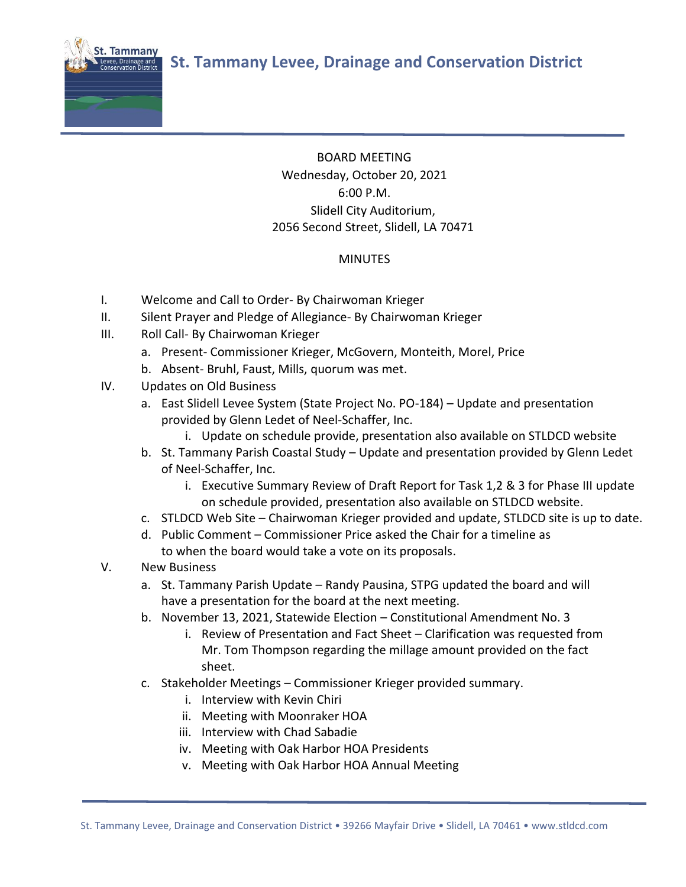

## BOARD MEETING Wednesday, October 20, 2021 6:00 P.M. Slidell City Auditorium, 2056 Second Street, Slidell, LA 70471

## MINUTES

- I. Welcome and Call to Order- By Chairwoman Krieger
- II. Silent Prayer and Pledge of Allegiance- By Chairwoman Krieger
- III. Roll Call- By Chairwoman Krieger
	- a. Present- Commissioner Krieger, McGovern, Monteith, Morel, Price
	- b. Absent- Bruhl, Faust, Mills, quorum was met.
- IV. Updates on Old Business
	- a. East Slidell Levee System (State Project No. PO-184) Update and presentation provided by Glenn Ledet of Neel-Schaffer, Inc.
		- i. Update on schedule provide, presentation also available on STLDCD website
	- b. St. Tammany Parish Coastal Study Update and presentation provided by Glenn Ledet of Neel-Schaffer, Inc.
		- i. Executive Summary Review of Draft Report for Task 1,2 & 3 for Phase III update on schedule provided, presentation also available on STLDCD website.
	- c. STLDCD Web Site Chairwoman Krieger provided and update, STLDCD site is up to date.
	- d. Public Comment Commissioner Price asked the Chair for a timeline as to when the board would take a vote on its proposals.
- V. New Business
	- a. St. Tammany Parish Update Randy Pausina, STPG updated the board and will have a presentation for the board at the next meeting.
	- b. November 13, 2021, Statewide Election Constitutional Amendment No. 3
		- i. Review of Presentation and Fact Sheet Clarification was requested from Mr. Tom Thompson regarding the millage amount provided on the fact sheet.
	- c. Stakeholder Meetings Commissioner Krieger provided summary.
		- i. Interview with Kevin Chiri
		- ii. Meeting with Moonraker HOA
		- iii. Interview with Chad Sabadie
		- iv. Meeting with Oak Harbor HOA Presidents
		- v. Meeting with Oak Harbor HOA Annual Meeting